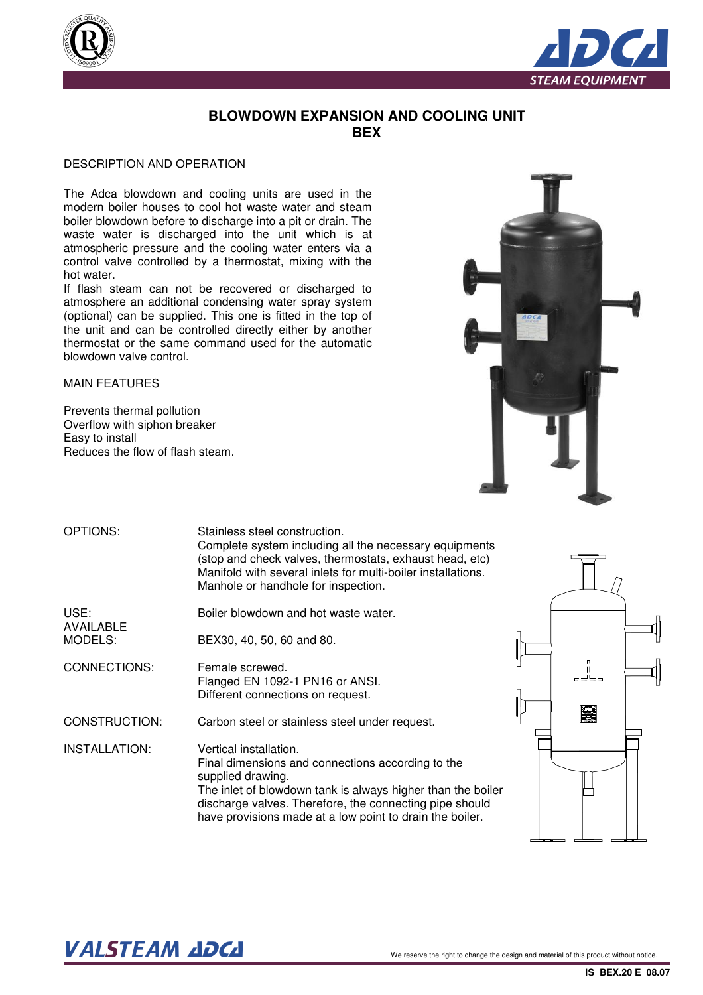



### **BLOWDOWN EXPANSION AND COOLING UNIT BEX**

#### DESCRIPTION AND OPERATION

The Adca blowdown and cooling units are used in the modern boiler houses to cool hot waste water and steam boiler blowdown before to discharge into a pit or drain. The waste water is discharged into the unit which is at atmospheric pressure and the cooling water enters via a control valve controlled by a thermostat, mixing with the hot water.

If flash steam can not be recovered or discharged to atmosphere an additional condensing water spray system (optional) can be supplied. This one is fitted in the top of the unit and can be controlled directly either by another thermostat or the same command used for the automatic blowdown valve control.

MAIN FEATURES

Prevents thermal pollution Overflow with siphon breaker Easy to install Reduces the flow of flash steam.



| OPTIONS:                 | Stainless steel construction.<br>Complete system including all the necessary equipments<br>(stop and check valves, thermostats, exhaust head, etc)<br>Manifold with several inlets for multi-boiler installations.<br>Manhole or handhole for inspection.                              |  |
|--------------------------|----------------------------------------------------------------------------------------------------------------------------------------------------------------------------------------------------------------------------------------------------------------------------------------|--|
| USE:<br><b>AVAILABLE</b> | Boiler blowdown and hot waste water.                                                                                                                                                                                                                                                   |  |
| MODELS:                  | BEX30, 40, 50, 60 and 80.                                                                                                                                                                                                                                                              |  |
| CONNECTIONS:             | Female screwed.<br>Flanged EN 1092-1 PN16 or ANSI.<br>Different connections on request.                                                                                                                                                                                                |  |
| CONSTRUCTION:            | Carbon steel or stainless steel under request.                                                                                                                                                                                                                                         |  |
| INSTALLATION:            | Vertical installation.<br>Final dimensions and connections according to the<br>supplied drawing.<br>The inlet of blowdown tank is always higher than the boiler<br>discharge valves. Therefore, the connecting pipe should<br>have provisions made at a low point to drain the boiler. |  |



# VALSTEAM ADCA We reserve the right to change the design and material of this product without notice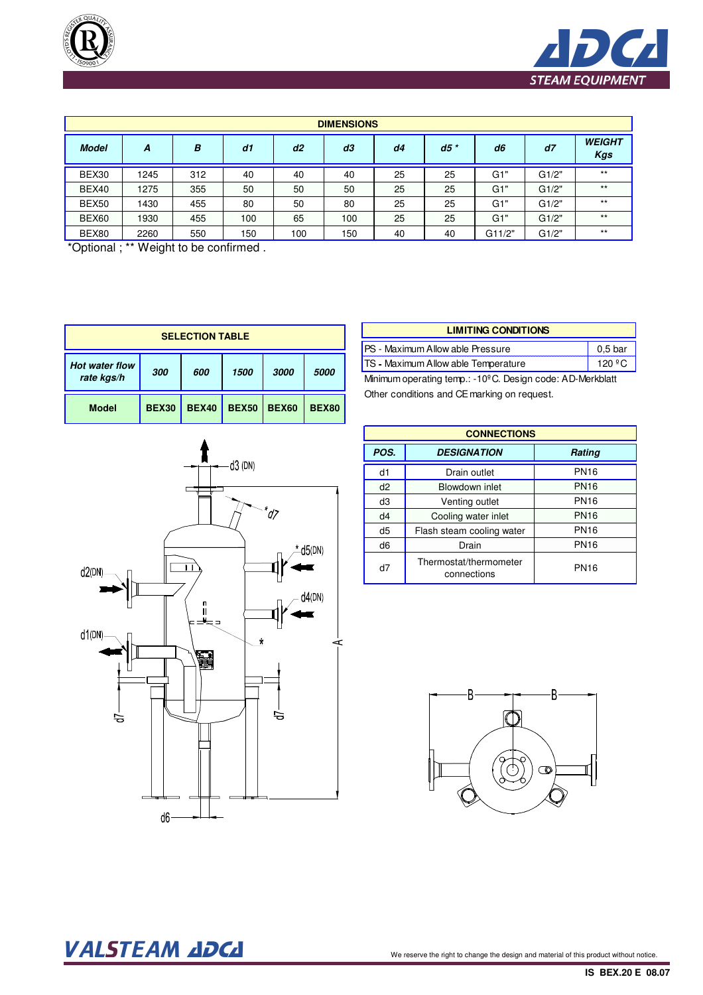



| <b>DIMENSIONS</b> |      |     |     |     |     |    |        |        |       |                             |
|-------------------|------|-----|-----|-----|-----|----|--------|--------|-------|-----------------------------|
| <b>Model</b>      | A    | B   | d1  | d2  | d3  | d4 | $d5$ * | d6     | d7    | <b>WEIGHT</b><br><b>Kgs</b> |
| BEX30             | 1245 | 312 | 40  | 40  | 40  | 25 | 25     | G1"    | G1/2" | $***$                       |
| <b>BEX40</b>      | 1275 | 355 | 50  | 50  | 50  | 25 | 25     | G1"    | G1/2" | $\star \star$               |
| BEX50             | 1430 | 455 | 80  | 50  | 80  | 25 | 25     | G1"    | G1/2" | $***$                       |
| <b>BEX60</b>      | 1930 | 455 | 100 | 65  | 100 | 25 | 25     | G1"    | G1/2" | $***$                       |
| BEX80             | 2260 | 550 | 150 | 100 | 150 | 40 | 40     | G11/2" | G1/2" | $***$                       |

\*Optional ; \*\* Weight to be confirmed .

| <b>SELECTION TABLE</b>                     |  |              |              |              |              |
|--------------------------------------------|--|--------------|--------------|--------------|--------------|
| <b>Hot water flow</b><br>300<br>rate kgs/h |  | 600          | 1500         | 3000         | 5000         |
| <b>BEX30</b><br><b>Model</b>               |  | <b>BEX40</b> | <b>BEX50</b> | <b>BEX60</b> | <b>BEX80</b> |

 $\mathbf{A}$ 

| d3 (DN)<br>$\check{q}$                                                                     |                 |
|--------------------------------------------------------------------------------------------|-----------------|
| $*$ d5(DN)<br>Ĩ<br>f<br>d2(DN)<br>$d4$ (DN)<br>n<br>Il<br>d1(DN)<br>$\star$<br>j<br>ਚ<br>ਙ | $\dot{\preceq}$ |
| d6                                                                                         |                 |

| <b>LIMITING CONDITIONS</b>                                                             |         |  |  |  |
|----------------------------------------------------------------------------------------|---------|--|--|--|
| PS - Maximum Allow able Pressure                                                       | 0,5 bar |  |  |  |
| TS - Maximum Allow able Temperature                                                    | 120 °C  |  |  |  |
| $M$ pimum aparating tamp $\cdot$ 10 <sup>0</sup> C. Design aada $\cdot$ A.D. Markhlatt |         |  |  |  |

Minimum operating temp.: -10ºC. Design code: AD-Merkblatt Other conditions and CE marking on request.

| <b>CONNECTIONS</b> |                                       |             |  |  |
|--------------------|---------------------------------------|-------------|--|--|
| POS.               | <b>DESIGNATION</b>                    | Rating      |  |  |
| d1                 | Drain outlet                          | <b>PN16</b> |  |  |
| d2                 | Blowdown inlet                        | <b>PN16</b> |  |  |
| d3                 | Venting outlet                        | <b>PN16</b> |  |  |
| d4                 | Cooling water inlet                   | <b>PN16</b> |  |  |
| d5                 | Flash steam cooling water             | <b>PN16</b> |  |  |
| d <sub>6</sub>     | Drain                                 | <b>PN16</b> |  |  |
| d7                 | Thermostat/thermometer<br>connections | <b>PN16</b> |  |  |



## VALSTEAM ADCA We reserve the right to change the design and material of this product without notice.